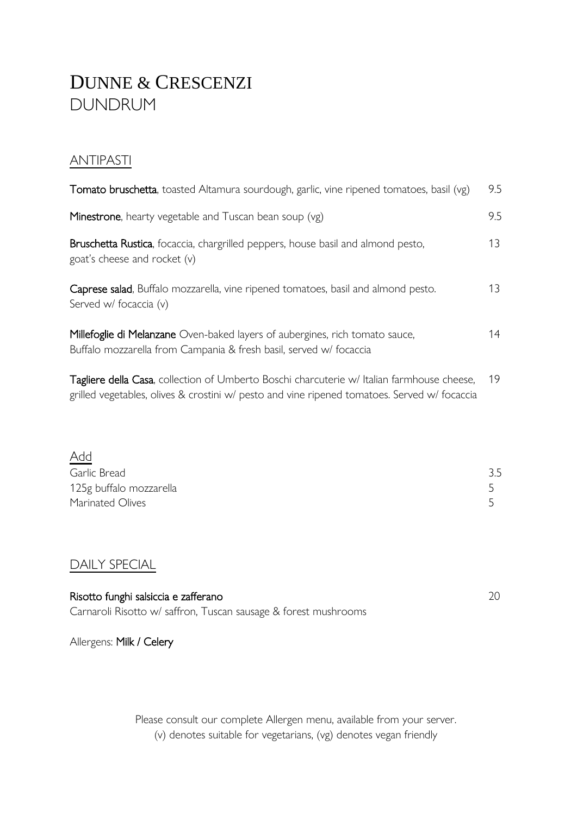# DUNNE & CRESCENZI DUNDRUM

#### **ANTIPASTI**

| Tomato bruschetta, toasted Altamura sourdough, garlic, vine ripened tomatoes, basil (vg)                                                          | 9.5 |
|---------------------------------------------------------------------------------------------------------------------------------------------------|-----|
| <b>Minestrone</b> , hearty vegetable and Tuscan bean soup (vg)                                                                                    | 9.5 |
| Bruschetta Rustica, focaccia, chargrilled peppers, house basil and almond pesto,<br>goat's cheese and rocket $(v)$                                | 13  |
| Caprese salad, Buffalo mozzarella, vine ripened tomatoes, basil and almond pesto.<br>Served w/ focaccia (v)                                       | 13  |
| Millefoglie di Melanzane Oven-baked layers of aubergines, rich tomato sauce,<br>Buffalo mozzarella from Campania & fresh basil, served w/focaccia | 14  |

Tagliere della Casa, collection of Umberto Boschi charcuterie w/ Italian farmhouse cheese, 19 grilled vegetables, olives & crostini w/ pesto and vine ripened tomatoes. Served w/ focaccia

| $\underline{\mathsf{Add}}$ |     |
|----------------------------|-----|
| Garlic Bread               | 3.5 |
| 125g buffalo mozzarella    |     |
| Marinated Olives           |     |

#### DAILY SPECIAL

| Risotto funghi salsiccia e zafferano                            |  |
|-----------------------------------------------------------------|--|
| Carnaroli Risotto w/ saffron, Tuscan sausage & forest mushrooms |  |

Allergens: Milk / Celery

Please consult our complete Allergen menu, available from your server. (v) denotes suitable for vegetarians, (vg) denotes vegan friendly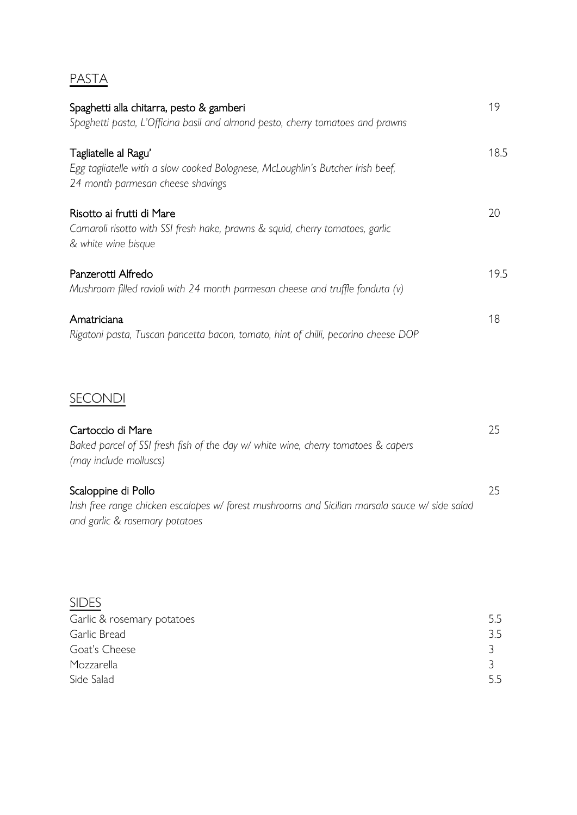#### PASTA

| Spaghetti alla chitarra, pesto & gamberi<br>Spaghetti pasta, L'Officina basil and almond pesto, cherry tomatoes and prawns                  | 19   |
|---------------------------------------------------------------------------------------------------------------------------------------------|------|
| Tagliatelle al Ragu'<br>Egg tagliatelle with a slow cooked Bolognese, McLoughlin's Butcher Irish beef,<br>24 month parmesan cheese shavings | 18.5 |
| Risotto ai frutti di Mare<br>Carnaroli risotto with SSI fresh hake, prawns & squid, cherry tomatoes, garlic<br>& white wine bisque          | 20   |
| Panzerotti Alfredo<br>Mushroom filled ravioli with 24 month parmesan cheese and truffle fonduta $(v)$                                       | 19.5 |
| Amatriciana<br>Rigatoni pasta, Tuscan pancetta bacon, tomato, hint of chilli, pecorino cheese DOP                                           | 18   |

### **SECONDI**

| Cartoccio di Mare                                                                               | 25. |
|-------------------------------------------------------------------------------------------------|-----|
| Baked parcel of SSI fresh fish of the day w/ white wine, cherry tomatoes & capers               |     |
| (may include molluscs)                                                                          |     |
|                                                                                                 |     |
| Scaloppine di Pollo                                                                             | 25. |
| Irish free range chicken escalopes w/ forest mushrooms and Sicilian marsala sauce w/ side salad |     |
| and garlic & rosemary potatoes                                                                  |     |

| 5.5 |
|-----|
| 3.5 |
|     |
|     |
| 5.5 |
|     |